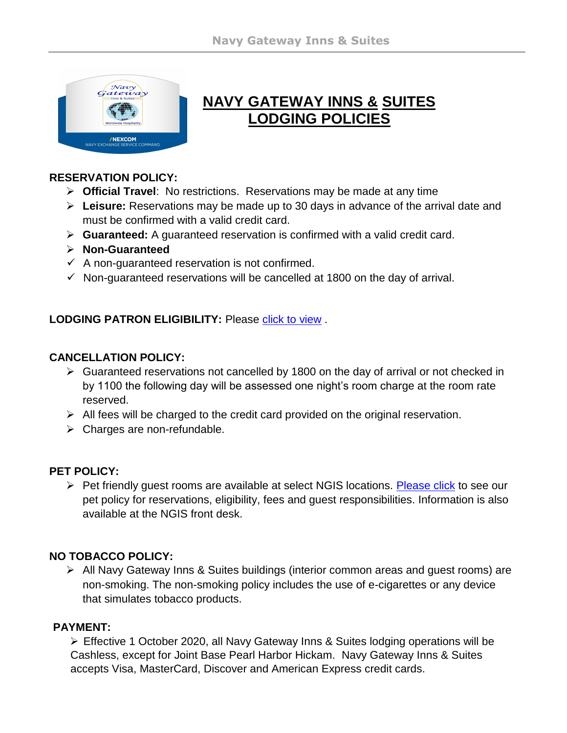

# **NAVY GATEWAY INNS & SUITES LODGING POLICIES**

#### **RESERVATION POLICY:**

- **Official Travel**: No restrictions. Reservations may be made at any time
- **Leisure:** Reservations may be made up to 30 days in advance of the arrival date and must be confirmed with a valid credit card.
- **Guaranteed:** A guaranteed reservation is confirmed with a valid credit card.
- **Non-Guaranteed**
- $\checkmark$  A non-guaranteed reservation is not confirmed.
- $\checkmark$  Non-guaranteed reservations will be cancelled at 1800 on the day of arrival.

### LODGING PATRON ELIGIBILITY: Please [click to view](https://www.dodlodging.net/documents/NGIS_Patron_Eligibilty_Jan_2019.pdf) .

### **CANCELLATION POLICY:**

- $\triangleright$  Guaranteed reservations not cancelled by 1800 on the day of arrival or not checked in by 1100 the following day will be assessed one night's room charge at the room rate reserved.
- $\triangleright$  All fees will be charged to the credit card provided on the original reservation.
- $\triangleright$  Charges are non-refundable.

## **PET POLICY:**

 $\triangleright$  Pet friendly quest rooms are available at select NGIS locations. [Please click](https://www.dodlodging.net/NGIS_PetPolicy_May2016.pdf) to see our pet policy for reservations, eligibility, fees and guest responsibilities. Information is also available at the NGIS front desk.

## **NO TOBACCO POLICY:**

 All Navy Gateway Inns & Suites buildings (interior common areas and guest rooms) are non-smoking. The non-smoking policy includes the use of e-cigarettes or any device that simulates tobacco products.

### **PAYMENT:**

 Effective 1 October 2020, all Navy Gateway Inns & Suites lodging operations will be Cashless, except for Joint Base Pearl Harbor Hickam. Navy Gateway Inns & Suites accepts Visa, MasterCard, Discover and American Express credit cards.